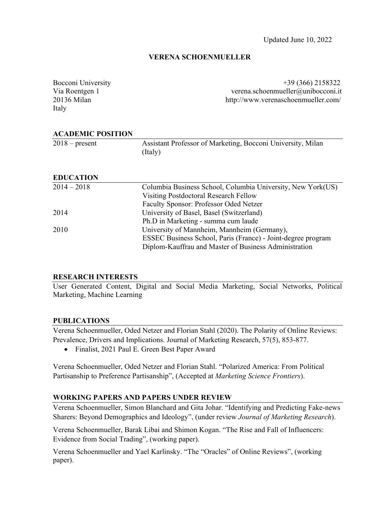## **VERENA SCHOENMUELLER**

| Bocconi University | $+39(366)2158322$                   |
|--------------------|-------------------------------------|
| Via Roentgen 1     | verena.schoenmueller@unibocconi.it  |
| 20136 Milan        | http://www.verenaschoenmueller.com/ |
| Italy              |                                     |
|                    |                                     |

#### **ACADEMIC POSITION**

| $2018$ – present | Assistant Professor of Marketing, Bocconi University, Milan |
|------------------|-------------------------------------------------------------|
|                  | (Italy)                                                     |
|                  |                                                             |

#### **EDUCATION**

| $2014 - 2018$ | Columbia Business School, Columbia University, New York(US)  |
|---------------|--------------------------------------------------------------|
|               | Visiting Postdoctoral Research Fellow                        |
|               | Faculty Sponsor: Professor Oded Netzer                       |
| 2014          | University of Basel, Basel (Switzerland)                     |
|               | Ph.D in Marketing - summa cum laude                          |
| 2010          | University of Mannheim, Mannheim (Germany),                  |
|               | ESSEC Business School, Paris (France) - Joint-degree program |
|               | Diplom-Kauffrau and Master of Business Administration        |
|               |                                                              |

# **RESEARCH INTERESTS**

User Generated Content, Digital and Social Media Marketing, Social Networks, Political Marketing, Machine Learning

#### **PUBLICATIONS**

Verena Schoenmueller, Oded Netzer and Florian Stahl (2020). The Polarity of Online Reviews: Prevalence, Drivers and Implications. Journal of Marketing Research, 57(5), 853-877.

• Finalist, 2021 Paul E. Green Best Paper Award

Verena Schoenmueller, Oded Netzer and Florian Stahl. "Polarized America: From Political Partisanship to Preference Partisanship", (Accepted at *Marketing Science Frontiers*).

## **WORKING PAPERS AND PAPERS UNDER REVIEW**

Verena Schoenmueller, Simon Blanchard and Gita Johar. "Identifying and Predicting Fake-news Sharers: Beyond Demographics and Ideology", (under review *Journal of Marketing Research*).

Verena Schoenmueller, Barak Libai and Shimon Kogan. "The Rise and Fall of Influencers: Evidence from Social Trading", (working paper).

Verena Schoenmueller and Yael Karlinsky. "The "Oracles" of Online Reviews", (working paper).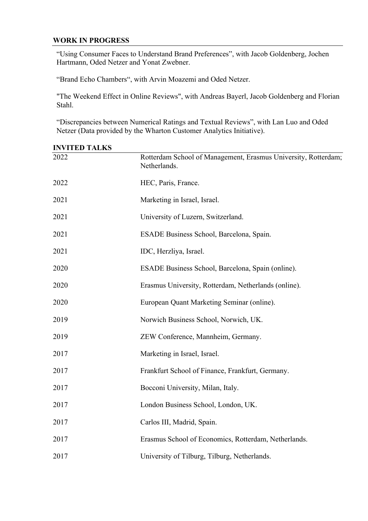## **WORK IN PROGRESS**

"Using Consumer Faces to Understand Brand Preferences", with Jacob Goldenberg, Jochen Hartmann, Oded Netzer and Yonat Zwebner.

"Brand Echo Chambers", with Arvin Moazemi and Oded Netzer.

"The Weekend Effect in Online Reviews", with Andreas Bayerl, Jacob Goldenberg and Florian Stahl.

"Discrepancies between Numerical Ratings and Textual Reviews", with Lan Luo and Oded Netzer (Data provided by the Wharton Customer Analytics Initiative).

| 2022 | Rotterdam School of Management, Erasmus University, Rotterdam;<br>Netherlands. |
|------|--------------------------------------------------------------------------------|
| 2022 | HEC, Paris, France.                                                            |
| 2021 | Marketing in Israel, Israel.                                                   |
| 2021 | University of Luzern, Switzerland.                                             |
| 2021 | ESADE Business School, Barcelona, Spain.                                       |
| 2021 | IDC, Herzliya, Israel.                                                         |
| 2020 | ESADE Business School, Barcelona, Spain (online).                              |
| 2020 | Erasmus University, Rotterdam, Netherlands (online).                           |
| 2020 | European Quant Marketing Seminar (online).                                     |
| 2019 | Norwich Business School, Norwich, UK.                                          |
| 2019 | ZEW Conference, Mannheim, Germany.                                             |
| 2017 | Marketing in Israel, Israel.                                                   |
| 2017 | Frankfurt School of Finance, Frankfurt, Germany.                               |
| 2017 | Bocconi University, Milan, Italy.                                              |
| 2017 | London Business School, London, UK.                                            |
| 2017 | Carlos III, Madrid, Spain.                                                     |
| 2017 | Erasmus School of Economics, Rotterdam, Netherlands.                           |
| 2017 | University of Tilburg, Tilburg, Netherlands.                                   |

**INVITED TALKS**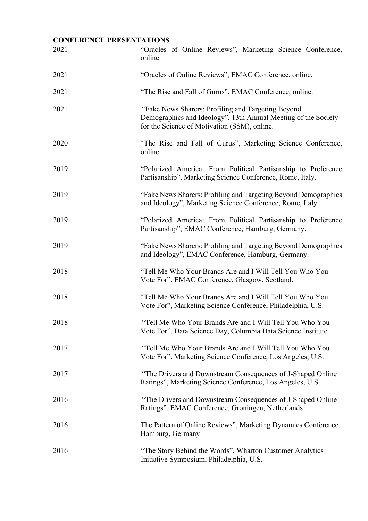# **CONFERENCE PRESENTATIONS**

| 2021 | "Oracles of Online Reviews", Marketing Science Conference,<br>online.                                                                                                |  |  |  |  |
|------|----------------------------------------------------------------------------------------------------------------------------------------------------------------------|--|--|--|--|
| 2021 | "Oracles of Online Reviews", EMAC Conference, online.                                                                                                                |  |  |  |  |
| 2021 | "The Rise and Fall of Gurus", EMAC Conference, online.                                                                                                               |  |  |  |  |
| 2021 | "Fake News Sharers: Profiling and Targeting Beyond<br>Demographics and Ideology", 13th Annual Meeting of the Society<br>for the Science of Motivation (SSM), online. |  |  |  |  |
| 2020 | "The Rise and Fall of Gurus", Marketing Science Conference,<br>online.                                                                                               |  |  |  |  |
| 2019 | "Polarized America: From Political Partisanship to Preference<br>Partisanship", Marketing Science Conference, Rome, Italy.                                           |  |  |  |  |
| 2019 | "Fake News Sharers: Profiling and Targeting Beyond Demographics<br>and Ideology", Marketing Science Conference, Rome, Italy.                                         |  |  |  |  |
| 2019 | "Polarized America: From Political Partisanship to Preference<br>Partisanship", EMAC Conference, Hamburg, Germany.                                                   |  |  |  |  |
| 2019 | "Fake News Sharers: Profiling and Targeting Beyond Demographics"<br>and Ideology", EMAC Conference, Hamburg, Germany.                                                |  |  |  |  |
| 2018 | "Tell Me Who Your Brands Are and I Will Tell You Who You<br>Vote For", EMAC Conference, Glasgow, Scotland.                                                           |  |  |  |  |
| 2018 | "Tell Me Who Your Brands Are and I Will Tell You Who You<br>Vote For", Marketing Science Conference, Philadelphia, U.S.                                              |  |  |  |  |
| 2018 | "Tell Me Who Your Brands Are and I Will Tell You Who You<br>Vote For", Data Science Day, Columbia Data Science Institute.                                            |  |  |  |  |
| 2017 | "Tell Me Who Your Brands Are and I Will Tell You Who You<br>Vote For", Marketing Science Conference, Los Angeles, U.S.                                               |  |  |  |  |
| 2017 | "The Drivers and Downstream Consequences of J-Shaped Online<br>Ratings", Marketing Science Conference, Los Angeles, U.S.                                             |  |  |  |  |
| 2016 | "The Drivers and Downstream Consequences of J-Shaped Online"<br>Ratings", EMAC Conference, Groningen, Netherlands                                                    |  |  |  |  |
| 2016 | The Pattern of Online Reviews", Marketing Dynamics Conference,<br>Hamburg, Germany                                                                                   |  |  |  |  |
| 2016 | "The Story Behind the Words", Wharton Customer Analytics<br>Initiative Symposium, Philadelphia, U.S.                                                                 |  |  |  |  |